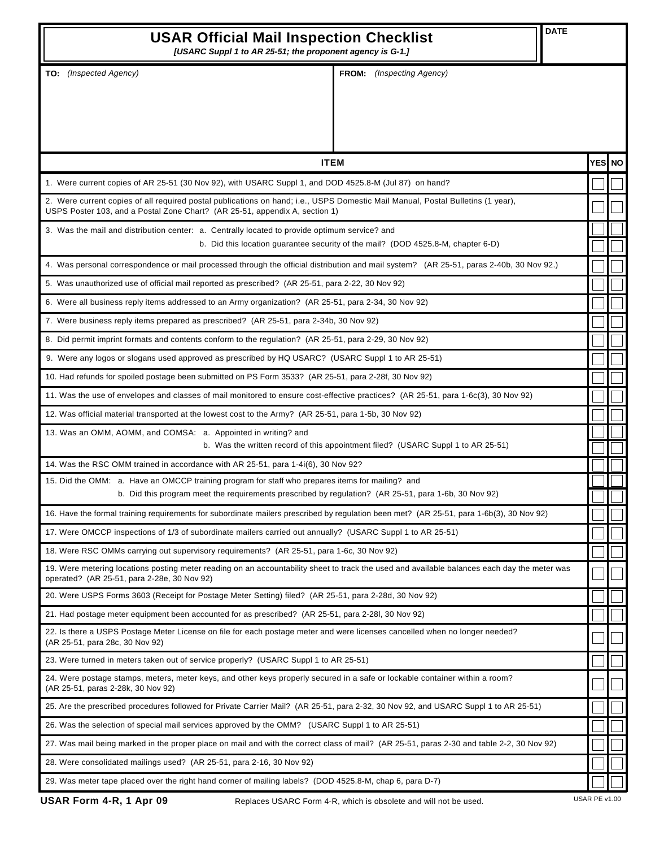| <b>DATE</b><br><b>USAR Official Mail Inspection Checklist</b><br>[USARC Suppl 1 to AR 25-51; the proponent agency is G-1.]                                                                                     |                                  |         |
|----------------------------------------------------------------------------------------------------------------------------------------------------------------------------------------------------------------|----------------------------------|---------|
| TO: (Inspected Agency)                                                                                                                                                                                         | <b>FROM:</b> (Inspecting Agency) |         |
| <b>ITEM</b>                                                                                                                                                                                                    |                                  | YESI NO |
| 1. Were current copies of AR 25-51 (30 Nov 92), with USARC Suppl 1, and DOD 4525.8-M (Jul 87) on hand?                                                                                                         |                                  |         |
| 2. Were current copies of all required postal publications on hand; i.e., USPS Domestic Mail Manual, Postal Bulletins (1 year),<br>USPS Poster 103, and a Postal Zone Chart? (AR 25-51, appendix A, section 1) |                                  |         |
| 3. Was the mail and distribution center: a. Centrally located to provide optimum service? and<br>b. Did this location guarantee security of the mail? (DOD 4525.8-M, chapter 6-D)                              |                                  |         |
| 4. Was personal correspondence or mail processed through the official distribution and mail system? (AR 25-51, paras 2-40b, 30 Nov 92.)                                                                        |                                  |         |
| 5. Was unauthorized use of official mail reported as prescribed? (AR 25-51, para 2-22, 30 Nov 92)                                                                                                              |                                  |         |
| 6. Were all business reply items addressed to an Army organization? (AR 25-51, para 2-34, 30 Nov 92)                                                                                                           |                                  |         |
| 7. Were business reply items prepared as prescribed? (AR 25-51, para 2-34b, 30 Nov 92)                                                                                                                         |                                  |         |
| 8. Did permit imprint formats and contents conform to the regulation? (AR 25-51, para 2-29, 30 Nov 92)                                                                                                         |                                  |         |
| 9. Were any logos or slogans used approved as prescribed by HQ USARC? (USARC Suppl 1 to AR 25-51)                                                                                                              |                                  |         |
| 10. Had refunds for spoiled postage been submitted on PS Form 3533? (AR 25-51, para 2-28f, 30 Nov 92)                                                                                                          |                                  |         |
| 11. Was the use of envelopes and classes of mail monitored to ensure cost-effective practices? (AR 25-51, para 1-6c(3), 30 Nov 92)                                                                             |                                  |         |
| 12. Was official material transported at the lowest cost to the Army? (AR 25-51, para 1-5b, 30 Nov 92)                                                                                                         |                                  |         |
| 13. Was an OMM, AOMM, and COMSA: a. Appointed in writing? and<br>b. Was the written record of this appointment filed? (USARC Suppl 1 to AR 25-51)                                                              |                                  |         |
| 14. Was the RSC OMM trained in accordance with AR 25-51, para 1-4i(6), 30 Nov 92?                                                                                                                              |                                  |         |
| 15. Did the OMM: a. Have an OMCCP training program for staff who prepares items for mailing? and<br>b. Did this program meet the requirements prescribed by regulation? (AR 25-51, para 1-6b, 30 Nov 92)       |                                  |         |
| 16. Have the formal training requirements for subordinate mailers prescribed by regulation been met? (AR 25-51, para 1-6b(3), 30 Nov 92)                                                                       |                                  |         |
| 17. Were OMCCP inspections of 1/3 of subordinate mailers carried out annually? (USARC Suppl 1 to AR 25-51)                                                                                                     |                                  |         |
| 18. Were RSC OMMs carrying out supervisory requirements? (AR 25-51, para 1-6c, 30 Nov 92)                                                                                                                      |                                  |         |
| 19. Were metering locations posting meter reading on an accountability sheet to track the used and available balances each day the meter was<br>operated? (AR 25-51, para 2-28e, 30 Nov 92)                    |                                  |         |
| 20. Were USPS Forms 3603 (Receipt for Postage Meter Setting) filed? (AR 25-51, para 2-28d, 30 Nov 92)                                                                                                          |                                  |         |
| 21. Had postage meter equipment been accounted for as prescribed? (AR 25-51, para 2-28l, 30 Nov 92)                                                                                                            |                                  |         |
| 22. Is there a USPS Postage Meter License on file for each postage meter and were licenses cancelled when no longer needed?<br>(AR 25-51, para 28c, 30 Nov 92)                                                 |                                  |         |
| 23. Were turned in meters taken out of service properly? (USARC Suppl 1 to AR 25-51)                                                                                                                           |                                  |         |
| 24. Were postage stamps, meters, meter keys, and other keys properly secured in a safe or lockable container within a room?<br>(AR 25-51, paras 2-28k, 30 Nov 92)                                              |                                  |         |
| 25. Are the prescribed procedures followed for Private Carrier Mail? (AR 25-51, para 2-32, 30 Nov 92, and USARC Suppl 1 to AR 25-51)                                                                           |                                  |         |
| 26. Was the selection of special mail services approved by the OMM? (USARC Suppl 1 to AR 25-51)                                                                                                                |                                  |         |
| 27. Was mail being marked in the proper place on mail and with the correct class of mail? (AR 25-51, paras 2-30 and table 2-2, 30 Nov 92)                                                                      |                                  |         |
| 28. Were consolidated mailings used? (AR 25-51, para 2-16, 30 Nov 92)                                                                                                                                          |                                  |         |
| 29. Was meter tape placed over the right hand corner of mailing labels? (DOD 4525.8-M, chap 6, para D-7)                                                                                                       |                                  |         |